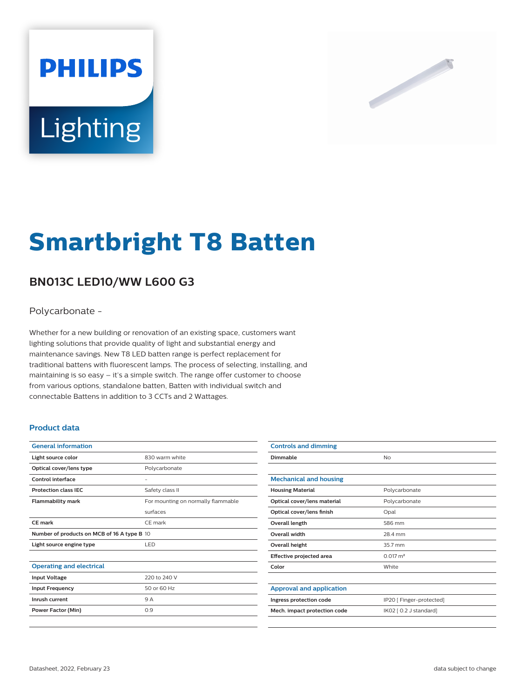# **PHILIPS** Lighting



# **Smartbright T8 Batten**

# **BN013C LED10/WW L600 G3**

# Polycarbonate -

Whether for a new building or renovation of an existing space, customers want lighting solutions that provide quality of light and substantial energy and maintenance savings. New T8 LED batten range is perfect replacement for traditional battens with fluorescent lamps. The process of selecting, installing, and maintaining is so easy – it's a simple switch. The range offer customer to choose from various options, standalone batten, Batten with individual switch and connectable Battens in addition to 3 CCTs and 2 Wattages.

## **Product data**

| <b>General information</b>                  |                                    |  |
|---------------------------------------------|------------------------------------|--|
| Light source color                          | 830 warm white                     |  |
| Optical cover/lens type                     | Polycarbonate                      |  |
| Control interface                           |                                    |  |
| <b>Protection class IEC</b>                 | Safety class II                    |  |
| <b>Flammability mark</b>                    | For mounting on normally flammable |  |
|                                             | surfaces                           |  |
| CE mark                                     | CE mark                            |  |
| Number of products on MCB of 16 A type B 10 |                                    |  |
| Light source engine type                    | LED                                |  |
|                                             |                                    |  |
| <b>Operating and electrical</b>             |                                    |  |
| <b>Input Voltage</b>                        | 220 to 240 V                       |  |
| <b>Input Frequency</b>                      | 50 or 60 Hz                        |  |
| Inrush current                              | 9 A                                |  |
| <b>Power Factor (Min)</b>                   | 0.9                                |  |
|                                             |                                    |  |

| <b>Controls and dimming</b>     |                          |
|---------------------------------|--------------------------|
| Dimmable                        | No                       |
|                                 |                          |
| <b>Mechanical and housing</b>   |                          |
| <b>Housing Material</b>         | Polycarbonate            |
| Optical cover/lens material     | Polycarbonate            |
| Optical cover/lens finish       | Opal                     |
| Overall length                  | 586 mm                   |
| <b>Overall width</b>            | 28.4 mm                  |
| <b>Overall height</b>           | 35.7 mm                  |
| Effective projected area        | $0.017 \text{ m}^2$      |
| Color                           | White                    |
|                                 |                          |
| <b>Approval and application</b> |                          |
| Ingress protection code         | IP20 [ Finger-protected] |
| Mech. impact protection code    | IK02 [ 0.2 J standard]   |
|                                 |                          |